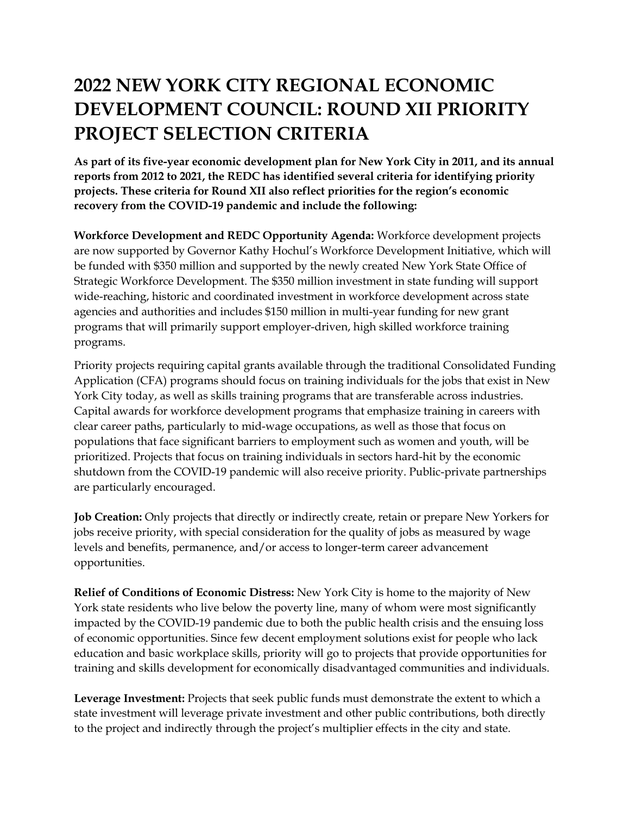## **2022 NEW YORK CITY REGIONAL ECONOMIC DEVELOPMENT COUNCIL: ROUND XII PRIORITY PROJECT SELECTION CRITERIA**

**As part of its five-year economic development plan for New York City in 2011, and its annual reports from 2012 to 2021, the REDC has identified several criteria for identifying priority projects. These criteria for Round XII also reflect priorities for the region's economic recovery from the COVID-19 pandemic and include the following:**

**Workforce Development and REDC Opportunity Agenda:** Workforce development projects are now supported by Governor Kathy Hochul's Workforce Development Initiative, which will be funded with \$350 million and supported by the newly created New York State Office of Strategic Workforce Development. The \$350 million investment in state funding will support wide-reaching, historic and coordinated investment in workforce development across state agencies and authorities and includes \$150 million in multi-year funding for new grant programs that will primarily support employer-driven, high skilled workforce training programs.

Priority projects requiring capital grants available through the traditional Consolidated Funding Application (CFA) programs should focus on training individuals for the jobs that exist in New York City today, as well as skills training programs that are transferable across industries. Capital awards for workforce development programs that emphasize training in careers with clear career paths, particularly to mid-wage occupations, as well as those that focus on populations that face significant barriers to employment such as women and youth, will be prioritized. Projects that focus on training individuals in sectors hard-hit by the economic shutdown from the COVID-19 pandemic will also receive priority. Public-private partnerships are particularly encouraged.

**Job Creation:** Only projects that directly or indirectly create, retain or prepare New Yorkers for jobs receive priority, with special consideration for the quality of jobs as measured by wage levels and benefits, permanence, and/or access to longer-term career advancement opportunities.

**Relief of Conditions of Economic Distress:** New York City is home to the majority of New York state residents who live below the poverty line, many of whom were most significantly impacted by the COVID-19 pandemic due to both the public health crisis and the ensuing loss of economic opportunities. Since few decent employment solutions exist for people who lack education and basic workplace skills, priority will go to projects that provide opportunities for training and skills development for economically disadvantaged communities and individuals.

**Leverage Investment:** Projects that seek public funds must demonstrate the extent to which a state investment will leverage private investment and other public contributions, both directly to the project and indirectly through the project's multiplier effects in the city and state.